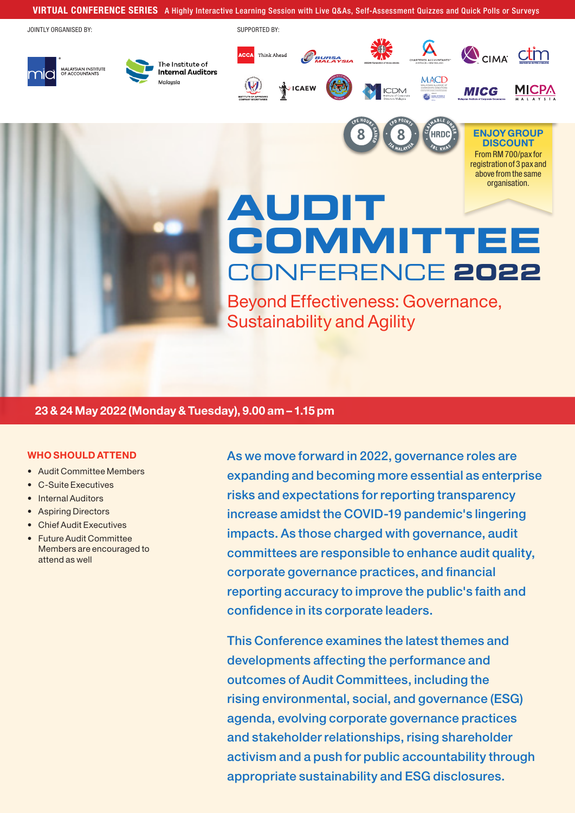### VIRTUAL CONFERENCE SERIES A Highly Interactive Learning Session with Live Q&As, Self-Assessment Quizzes and Quick Polls or Surveys

JOINTLY ORGANISED BY:

MALAYSIAN INSTITUTE<br>OF ACCOUNTANTS

SUPPORTED BY:





HRDC



ENJOY GROUP **DISCOUNT** From RM 700/pax for registration of 3 pax and above from the same organisation.

# **AUDIT COMMITTEE** CONFERENCE **2022**

Beyond Effectiveness: Governance, Sustainability and Agility

### 23 & 24 May 2022 (Monday & Tuesday), 9.00 am – 1.15 pm

The Institute of

Malausia

**Internal Auditors** 

### WHO SHOULD ATTEND

- Audit Committee Members
- C-Suite Executives
- **Internal Auditors**
- Aspiring Directors
- Chief Audit Executives
- Future Audit Committee Members are encouraged to attend as well

As we move forward in 2022, governance roles are expanding and becoming more essential as enterprise risks and expectations for reporting transparency increase amidst the COVID-19 pandemic's lingering impacts. As those charged with governance, audit committees are responsible to enhance audit quality, corporate governance practices, and financial reporting accuracy to improve the public's faith and confidence in its corporate leaders.

This Conference examines the latest themes and developments affecting the performance and outcomes of Audit Committees, including the rising environmental, social, and governance (ESG) agenda, evolving corporate governance practices and stakeholder relationships, rising shareholder activism and a push for public accountability through appropriate sustainability and ESG disclosures.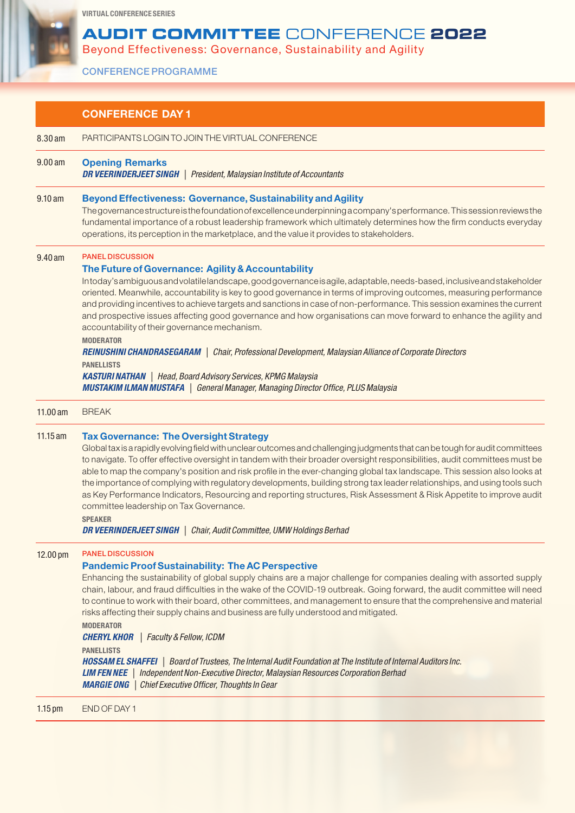### **AUDIT COMMITTEE** CONFERENCE **2022**

Beyond Effectiveness: Governance, Sustainability and Agility

CONFERENCE PROGRAMME

|                      | <b>CONFERENCE DAY 1</b>                                                                                                                                                                                                                                                                                                                                                                                                                                                                                                                                                                                                                                                                                                                                                                                                                                                                                                                                  |  |
|----------------------|----------------------------------------------------------------------------------------------------------------------------------------------------------------------------------------------------------------------------------------------------------------------------------------------------------------------------------------------------------------------------------------------------------------------------------------------------------------------------------------------------------------------------------------------------------------------------------------------------------------------------------------------------------------------------------------------------------------------------------------------------------------------------------------------------------------------------------------------------------------------------------------------------------------------------------------------------------|--|
| 8.30 am              | PARTICIPANTS LOGIN TO JOIN THE VIRTUAL CONFERENCE                                                                                                                                                                                                                                                                                                                                                                                                                                                                                                                                                                                                                                                                                                                                                                                                                                                                                                        |  |
| 9.00 a m             | <b>Opening Remarks</b><br><b>DR VEERINDERJEET SINGH</b>   President, Malaysian Institute of Accountants                                                                                                                                                                                                                                                                                                                                                                                                                                                                                                                                                                                                                                                                                                                                                                                                                                                  |  |
| 9.10 am              | <b>Beyond Effectiveness: Governance, Sustainability and Agility</b><br>The governance structure is the foundation of excellence underpinning a company's performance. This session reviews the<br>fundamental importance of a robust leadership framework which ultimately determines how the firm conducts everyday<br>operations, its perception in the marketplace, and the value it provides to stakeholders.                                                                                                                                                                                                                                                                                                                                                                                                                                                                                                                                        |  |
| 9.40 am              | <b>PANEL DISCUSSION</b><br>The Future of Governance: Agility & Accountability<br>Intoday's ambiguous and volatile landscape, good governance is agile, adaptable, needs-based, inclusive and stakeholder<br>oriented. Meanwhile, accountability is key to good governance in terms of improving outcomes, measuring performance<br>and providing incentives to achieve targets and sanctions in case of non-performance. This session examines the current<br>and prospective issues affecting good governance and how organisations can move forward to enhance the agility and<br>accountability of their governance mechanism.<br><b>MODERATOR</b><br>REINUSHINI CHANDRASEGARAM   Chair, Professional Development, Malaysian Alliance of Corporate Directors<br><b>PANELLISTS</b><br><b>KASTURI NATHAN</b>   Head, Board Advisory Services, KPMG Malaysia<br><b>MUSTAKIM ILMAN MUSTAFA</b>   General Manager, Managing Director Office, PLUS Malaysia |  |
| 11.00 am             | <b>BREAK</b>                                                                                                                                                                                                                                                                                                                                                                                                                                                                                                                                                                                                                                                                                                                                                                                                                                                                                                                                             |  |
| $11.15$ am           | <b>Tax Governance: The Oversight Strategy</b><br>Global tax is a rapidly evolving field with unclear outcomes and challenging judgments that can be tough for audit committees<br>to navigate. To offer effective oversight in tandem with their broader oversight responsibilities, audit committees must be<br>able to map the company's position and risk profile in the ever-changing global tax landscape. This session also looks at<br>the importance of complying with regulatory developments, building strong tax leader relationships, and using tools such<br>as Key Performance Indicators, Resourcing and reporting structures, Risk Assessment & Risk Appetite to improve audit<br>committee leadership on Tax Governance.<br><b>SPEAKER</b><br><b>DR VEERINDERJEET SINGH</b>   Chair, Audit Committee, UMW Holdings Berhad                                                                                                               |  |
| 12.00 pm             | <b>PANEL DISCUSSION</b><br><b>Pandemic Proof Sustainability: The AC Perspective</b><br>Enhancing the sustainability of global supply chains are a major challenge for companies dealing with assorted supply<br>chain, labour, and fraud difficulties in the wake of the COVID-19 outbreak. Going forward, the audit committee will need<br>to continue to work with their board, other committees, and management to ensure that the comprehensive and material<br>risks affecting their supply chains and business are fully understood and mitigated.<br><b>MODERATOR</b><br>Faculty & Fellow, ICDM<br><b>CHERYL KHOR</b><br><b>PANELLISTS</b><br><b>HOSSAM EL SHAFFEI</b>   Board of Trustees, The Internal Audit Foundation at The Institute of Internal Auditors Inc.<br><b>LIM FEN NEE</b>   Independent Non-Executive Director, Malaysian Resources Corporation Berhad                                                                           |  |
| $1.15 \,\mathrm{pm}$ | <b>MARGIE ONG</b>   Chief Executive Officer, Thoughts In Gear<br>END OF DAY 1                                                                                                                                                                                                                                                                                                                                                                                                                                                                                                                                                                                                                                                                                                                                                                                                                                                                            |  |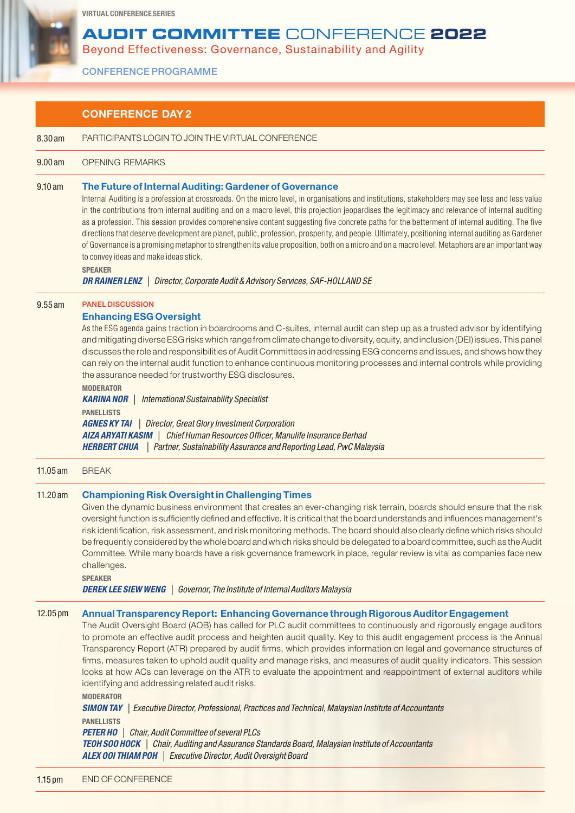### **AUDIT COMMITTEE** CONFERENCE **2022**

Internal Auditing is a profession at crossroads. On the micro level, in organisations and institutions, stakeholders may see less and less value in the contributions from internal auditing and on a macro level, this projection jeopardises the legitimacy and relevance of internal auditing as a profession. This session provides comprehensive content suggesting five concrete paths for the betterment of internal auditing. The five directions that deserve development are planet, public, profession, prosperity, and people. Ultimately, positioning internal auditing as Gardener of Governance is a promising metaphor to strengthen its value proposition, both on a micro and on a macro level. Metaphors are an important way

Beyond Effectiveness: Governance, Sustainability and Agility

CONFERENCE PROGRAMME

8.30 am PARTICIPANTS LOGIN TO JOIN THE VIRTUAL CONFERENCE

9.10 am The Future of Internal Auditing: Gardener of Governance

CONFERENCE DAY 2

to convey ideas and make ideas stick.

9.00 am OPENING REMARKS

SPEAKER

|          | <b>DR RAINER LENZ</b>   Director, Corporate Audit & Advisory Services, SAF-HOLLAND SE                                                                                                                                                                                                                                                                                                                                                                                                                                                                                                                                                                                                                                                                       |  |
|----------|-------------------------------------------------------------------------------------------------------------------------------------------------------------------------------------------------------------------------------------------------------------------------------------------------------------------------------------------------------------------------------------------------------------------------------------------------------------------------------------------------------------------------------------------------------------------------------------------------------------------------------------------------------------------------------------------------------------------------------------------------------------|--|
| 9.55 am  | <b>PANEL DISCUSSION</b>                                                                                                                                                                                                                                                                                                                                                                                                                                                                                                                                                                                                                                                                                                                                     |  |
|          | <b>Enhancing ESG Oversight</b><br>As the ESG agenda gains traction in boardrooms and C-suites, internal audit can step up as a trusted advisor by identifying<br>and mitigating diverse ESG risks which range from climate change to diversity, equity, and inclusion (DEI) issues. This panel<br>discusses the role and responsibilities of Audit Committees in addressing ESG concerns and issues, and shows how they<br>can rely on the internal audit function to enhance continuous monitoring processes and internal controls while providing<br>the assurance needed for trustworthy ESG disclosures.<br><b>MODERATOR</b>                                                                                                                            |  |
|          | <b>KARINA NOR \</b><br>International Sustainability Specialist                                                                                                                                                                                                                                                                                                                                                                                                                                                                                                                                                                                                                                                                                              |  |
|          | <b>PANELLISTS</b><br><b>AGNES KY TAI</b>   Director, Great Glory Investment Corporation<br>AIZA ARYATI KASIM   Chief Human Resources Officer, Manulife Insurance Berhad<br>  Partner, Sustainability Assurance and Reporting Lead, PwC Malaysia<br><b>HERBERT CHUA</b>                                                                                                                                                                                                                                                                                                                                                                                                                                                                                      |  |
| 11.05 am | <b>BREAK</b>                                                                                                                                                                                                                                                                                                                                                                                                                                                                                                                                                                                                                                                                                                                                                |  |
| 11.20 am | <b>Championing Risk Oversight in Challenging Times</b><br>Given the dynamic business environment that creates an ever-changing risk terrain, boards should ensure that the risk<br>oversight function is sufficiently defined and effective. It is critical that the board understands and influences management's<br>risk identification, risk assessment, and risk monitoring methods. The board should also clearly define which risks should<br>be frequently considered by the whole board and which risks should be delegated to a board committee, such as the Audit<br>Committee. While many boards have a risk governance framework in place, regular review is vital as companies face new<br>challenges.<br><b>SPEAKER</b>                       |  |
|          | <b>DEREK LEE SIEW WENG</b>   Governor, The Institute of Internal Auditors Malaysia                                                                                                                                                                                                                                                                                                                                                                                                                                                                                                                                                                                                                                                                          |  |
| 12.05 pm | Annual Transparency Report: Enhancing Governance through Rigorous Auditor Engagement<br>The Audit Oversight Board (AOB) has called for PLC audit committees to continuously and rigorously engage auditors<br>to promote an effective audit process and heighten audit quality. Key to this audit engagement process is the Annual<br>Transparency Report (ATR) prepared by audit firms, which provides information on legal and governance structures of<br>firms, measures taken to uphold audit quality and manage risks, and measures of audit quality indicators. This session<br>looks at how ACs can leverage on the ATR to evaluate the appointment and reappointment of external auditors while<br>identifying and addressing related audit risks. |  |
|          | <b>MODERATOR</b><br><b>SIMON TAY</b>   Executive Director, Professional, Practices and Technical, Malaysian Institute of Accountants<br><b>PANELLISTS</b>                                                                                                                                                                                                                                                                                                                                                                                                                                                                                                                                                                                                   |  |
|          | <b>PETER HO</b>   Chair, Audit Committee of several PLCs<br>TEOH SOO HOCK   Chair, Auditing and Assurance Standards Board, Malaysian Institute of Accountants<br><b>ALEX OOI THIAM POH</b>   Executive Director, Audit Oversight Board                                                                                                                                                                                                                                                                                                                                                                                                                                                                                                                      |  |
|          |                                                                                                                                                                                                                                                                                                                                                                                                                                                                                                                                                                                                                                                                                                                                                             |  |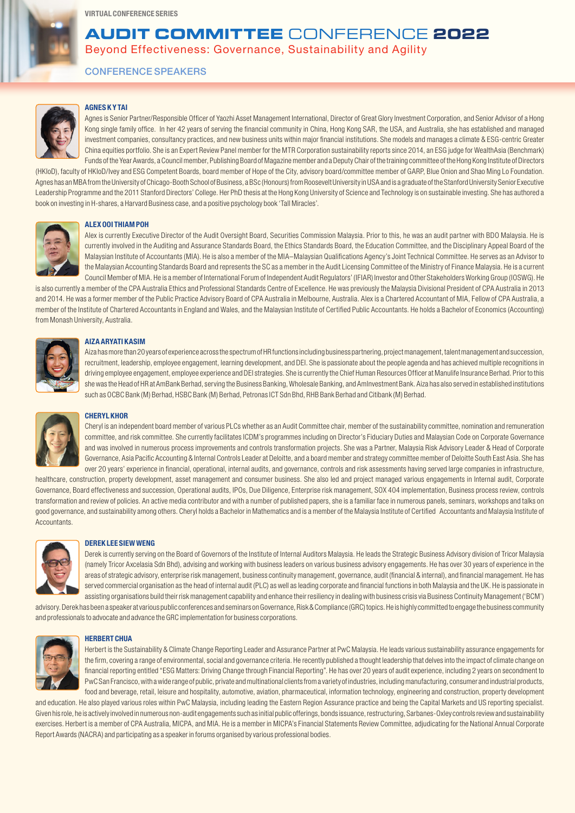## **AUDIT COMMITTEE** CONFERENCE **2022**

Beyond Effectiveness: Governance, Sustainability and Agility

CONFERENCE SPEAKERS



### AGNES K Y TAI

Agnes is Senior Partner/Responsible Officer of Yaozhi Asset Management International, Director of Great Glory Investment Corporation, and Senior Advisor of a Hong Kong single family office. In her 42 years of serving the financial community in China, Hong Kong SAR, the USA, and Australia, she has established and managed investment companies, consultancy practices, and new business units within major financial institutions. She models and manages a climate & ESG-centric Greater China equities portfolio. She is an Expert Review Panel member for the MTR Corporation sustainability reports since 2014, an ESG judge for WealthAsia (Benchmark) Funds of the Year Awards, a Council member, Publishing Board of Magazine member and a Deputy Chair of the training committee of the Hong Kong Institute of Directors

(HKIoD), faculty of HKIoD/Ivey and ESG Competent Boards, board member of Hope of the City, advisory board/committee member of GARP, Blue Onion and Shao Ming Lo Foundation. Agnes has an MBA from the University of Chicago-Booth School of Business, a BSc (Honours) from Roosevelt University in USA and is a graduate of the Stanford University Senior Executive Leadership Programme and the 2011 Stanford Directors' College. Her PhD thesis at the Hong Kong University of Science and Technology is on sustainable investing. She has authored a book on investing in H-shares, a Harvard Business case, and a positive psychology book 'Tall Miracles'.



### ALEX OOI THIAM POH

Alex is currently Executive Director of the Audit Oversight Board, Securities Commission Malaysia. Prior to this, he was an audit partner with BDO Malaysia. He is currently involved in the Auditing and Assurance Standards Board, the Ethics Standards Board, the Education Committee, and the Disciplinary Appeal Board of the Malaysian Institute of Accountants (MIA). He is also a member of the MIA–Malaysian Qualifications Agency's Joint Technical Committee. He serves as an Advisor to the Malaysian Accounting Standards Board and represents the SC as a member in the Audit Licensing Committee of the Ministry of Finance Malaysia. He is a current Council Member of MIA. He is a member of International Forum of Independent Audit Regulators' (IFIAR) Investor and Other Stakeholders Working Group (IOSWG). He

is also currently a member of the CPA Australia Ethics and Professional Standards Centre of Excellence. He was previously the Malaysia Divisional President of CPA Australia in 2013 and 2014. He was a former member of the Public Practice Advisory Board of CPA Australia in Melbourne, Australia. Alex is a Chartered Accountant of MIA, Fellow of CPA Australia, a member of the Institute of Chartered Accountants in England and Wales, and the Malaysian Institute of Certified Public Accountants. He holds a Bachelor of Economics (Accounting) from Monash University, Australia.



### AIZA ARYATI KASIM

Aiza has more than 20 years of experience across the spectrum of HR functions including business partnering, project management, talent management and succession, recruitment, leadership, employee engagement, learning development, and DEI. She is passionate about the people agenda and has achieved multiple recognitions in driving employee engagement, employee experience and DEI strategies. She is currently the Chief Human Resources Officer at Manulife Insurance Berhad. Prior to this she was the Head of HR at AmBank Berhad, serving the Business Banking, Wholesale Banking, and AmInvestment Bank. Aiza has also served in established institutions such as OCBC Bank (M) Berhad, HSBC Bank (M) Berhad, Petronas ICT Sdn Bhd, RHB Bank Berhad and Citibank (M) Berhad.



### CHERYL KHOR

Cheryl is an independent board member of various PLCs whether as an Audit Committee chair, member of the sustainability committee, nomination and remuneration committee, and risk committee. She currently facilitates ICDM's programmes including on Director's Fiduciary Duties and Malaysian Code on Corporate Governance and was involved in numerous process improvements and controls transformation projects. She was a Partner, Malaysia Risk Advisory Leader & Head of Corporate Governance, Asia Pacific Accounting & Internal Controls Leader at Deloitte, and a board member and strategy committee member of Deloitte South East Asia. She has over 20 years' experience in financial, operational, internal audits, and governance, controls and risk assessments having served large companies in infrastructure,

healthcare, construction, property development, asset management and consumer business. She also led and project managed various engagements in Internal audit, Corporate Governance, Board effectiveness and succession, Operational audits, IPOs, Due Diligence, Enterprise risk management, SOX 404 implementation, Business process review, controls transformation and review of policies. An active media contributor and with a number of published papers, she is a familiar face in numerous panels, seminars, workshops and talks on good governance, and sustainability among others. Cheryl holds a Bachelor in Mathematics and is a member of the Malaysia Institute of Certified Accountants and Malaysia Institute of Accountants.



### DEREK LEE SIEW WENG

Derek is currently serving on the Board of Governors of the Institute of Internal Auditors Malaysia. He leads the Strategic Business Advisory division of Tricor Malaysia (namely Tricor Axcelasia Sdn Bhd), advising and working with business leaders on various business advisory engagements. He has over 30 years of experience in the areas of strategic advisory, enterprise risk management, business continuity management, governance, audit (financial & internal), and financial management. He has served commercial organisation as the head of internal audit (PLC) as well as leading corporate and financial functions in both Malaysia and the UK. He is passionate in assisting organisations build their risk management capability and enhance their resiliency in dealing with business crisis via Business Continuity Management ('BCM')

advisory. Derek has been a speaker at various public conferences and seminars on Governance, Risk & Compliance (GRC) topics. He is highly committed to engage the business community and professionals to advocate and advance the GRC implementation for business corporations.



### **HERBERT CHUA**

Herbert is the Sustainability & Climate Change Reporting Leader and Assurance Partner at PwC Malaysia. He leads various sustainability assurance engagements for the firm, covering a range of environmental, social and governance criteria. He recently published a thought leadership that delves into the impact of climate change on financial reporting entitled "ESG Matters: Driving Change through Financial Reporting". He has over 20 years of audit experience, including 2 years on secondment to PwC San Francisco, with a wide range of public, private and multinational clients from a variety of industries, including manufacturing, consumer and industrial products, food and beverage, retail, leisure and hospitality, automotive, aviation, pharmaceutical, information technology, engineering and construction, property development

and education. He also played various roles within PwC Malaysia, including leading the Eastern Region Assurance practice and being the Capital Markets and US reporting specialist. Given his role, he is actively involved in numerous non-audit engagements such as initial public offerings, bonds issuance, restructuring, Sarbanes-Oxley controls review and sustainability exercises. Herbert is a member of CPA Australia, MICPA, and MIA. He is a member in MICPA's Financial Statements Review Committee, adjudicating for the National Annual Corporate Report Awards (NACRA) and participating as a speaker in forums organised by various professional bodies.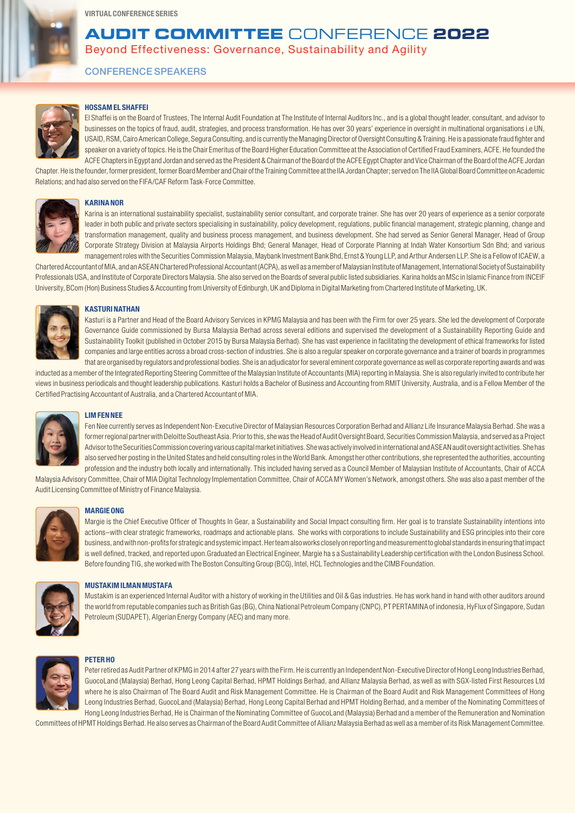### **AUDIT COMMITTEE** CONFERENCE **2022**

Beyond Effectiveness: Governance, Sustainability and Agility

CONFERENCE SPEAKERS



### HOSSAM EL SHAFFEI

El Shaffei is on the Board of Trustees, The Internal Audit Foundation at The Institute of Internal Auditors Inc., and is a global thought leader, consultant, and advisor to businesses on the topics of fraud, audit, strategies, and process transformation. He has over 30 years' experience in oversight in multinational organisations i.e UN, USAID, RSM, Cairo American College, Segura Consulting, and is currently the Managing Director of Oversight Consulting & Training. He is a passionate fraud fighter and speaker on a variety of topics. He is the Chair Emeritus of the Board Higher Education Committee at the Association of Certified Fraud Examiners, ACFE. He founded the ACFE Chapters in Egypt and Jordan and served as the President & Chairman of the Board of the ACFE Gypt Chapter and Vice Chairman of the Board of the ACFE Jordan

Chapter. He is the founder, former president, former Board Member and Chair of the Training Committee at the IIA Jordan Chapter; served on The IIA Global Board Committee on Academic Relations; and had also served on the FIFA/CAF Reform Task-Force Committee.



#### KARINA NOR

Karina is an international sustainability specialist, sustainability senior consultant, and corporate trainer. She has over 20 years of experience as a senior corporate leader in both public and private sectors specialising in sustainability, policy development, regulations, public financial management, strategic planning, change and transformation management, quality and business process management, and business development. She had served as Senior General Manager, Head of Group Corporate Strategy Division at Malaysia Airports Holdings Bhd; General Manager, Head of Corporate Planning at Indah Water Konsortium Sdn Bhd; and various management roles with the Securities Commission Malaysia, Maybank Investment Bank Bhd, Ernst & Young LLP, and Arthur Andersen LLP. She is a Fellow of ICAEW, a

Chartered Accountant of MIA, and an ASEAN Chartered Professional Accountant (ACPA), as well as a member of Malaysian Institute of Management, International Society of Sustainability Professionals USA, and Institute of Corporate Directors Malaysia. She also served on the Boards of several public listed subsidiaries. Karina holds an MSc in Islamic Finance from INCEIF University, BCom (Hon) Business Studies & Accounting from University of Edinburgh, UK and Diploma in Digital Marketing from Chartered Institute of Marketing, UK.



### **KASTURI NATHAN**

Kasturi is a Partner and Head of the Board Advisory Services in KPMG Malaysia and has been with the Firm for over 25 years. She led the development of Corporate Governance Guide commissioned by Bursa Malaysia Berhad across several editions and supervised the development of a Sustainability Reporting Guide and Sustainability Toolkit (published in October 2015 by Bursa Malaysia Berhad). She has vast experience in facilitating the development of ethical frameworks for listed companies and large entities across a broad cross-section of industries. She is also a regular speaker on corporate governance and a trainer of boards in programmes that are organised by regulators and professional bodies. She is an adjudicator for several eminent corporate governance as well as corporate reporting awards and was

inducted as a member of the Integrated Reporting Steering Committee of the Malaysian Institute of Accountants (MIA) reporting in Malaysia. She is also regularly invited to contribute her views in business periodicals and thought leadership publications. Kasturi holds a Bachelor of Business and Accounting from RMIT University, Australia, and is a Fellow Member of the Certified Practising Accountant of Australia, and a Chartered Accountant of MIA.



### LIM FEN NEE

Fen Nee currently serves as Independent Non-Executive Director of Malaysian Resources Corporation Berhad and Allianz Life Insurance Malaysia Berhad. She was a former regional partner with Deloitte Southeast Asia. Prior to this, she was the Head of Audit Oversight Board, Securities Commission Malaysia, and served as a Project Advisor to the Securities Commission covering various capital market initiatives. She was actively involved in international and ASEAN audit oversight activities. She has also served her posting in the United States and held consulting roles in the World Bank. Amongst her other contributions, she represented the authorities, accounting profession and the industry both locally and internationally. This included having served as a Council Member of Malaysian Institute of Accountants, Chair of ACCA

Malaysia Advisory Committee, Chair of MIA Digital Technology Implementation Committee, Chair of ACCA MY Women's Network, amongst others. She was also a past member of the Audit Licensing Committee of Ministry of Finance Malaysia.



### MARGIE ONG

Margie is the Chief Executive Officer of Thoughts In Gear, a Sustainability and Social Impact consulting firm. Her goal is to translate Sustainability intentions into actions–with clear strategic frameworks, roadmaps and actionable plans. She works with corporations to include Sustainability and ESG principles into their core business, and with non-profits for strategic and systemic impact. Her team also works closely on reporting and measurement to global standards in ensuring that impact is well defined, tracked, and reported upon.Graduated an Electrical Engineer, Margie ha s a Sustainability Leadership certification with the London Business School. Before founding TIG, she worked with The Boston Consulting Group (BCG), Intel, HCL Technologies and the CIMB Foundation.



### MUSTAKIM ILMAN MUSTAFA

Mustakim is an experienced Internal Auditor with a history of working in the Utilities and Oil & Gas industries. He has work hand in hand with other auditors around the world from reputable companies such as British Gas (BG), China National Petroleum Company (CNPC), PT PERTAMINA of indonesia, HyFlux of Singapore, Sudan Petroleum (SUDAPET), Algerian Energy Company (AEC) and many more.



### PETER HO

Peter retired as Audit Partner of KPMG in 2014 after 27 years with the Firm. He is currently an Independent Non-Executive Director of Hong Leong Industries Berhad, GuocoLand (Malaysia) Berhad, Hong Leong Capital Berhad, HPMT Holdings Berhad, and Allianz Malaysia Berhad, as well as with SGX-listed First Resources Ltd where he is also Chairman of The Board Audit and Risk Management Committee. He is Chairman of the Board Audit and Risk Management Committees of Hong Leong Industries Berhad, GuocoLand (Malaysia) Berhad, Hong Leong Capital Berhad and HPMT Holding Berhad, and a member of the Nominating Committees of Hong Leong Industries Berhad, He is Chairman of the Nominating Committee of GuocoLand (Malaysia) Berhad and a member of the Remuneration and Nomination

Committees of HPMT Holdings Berhad. He also serves as Chairman of the Board Audit Committee of Allianz Malaysia Berhad as well as a member of its Risk Management Committee.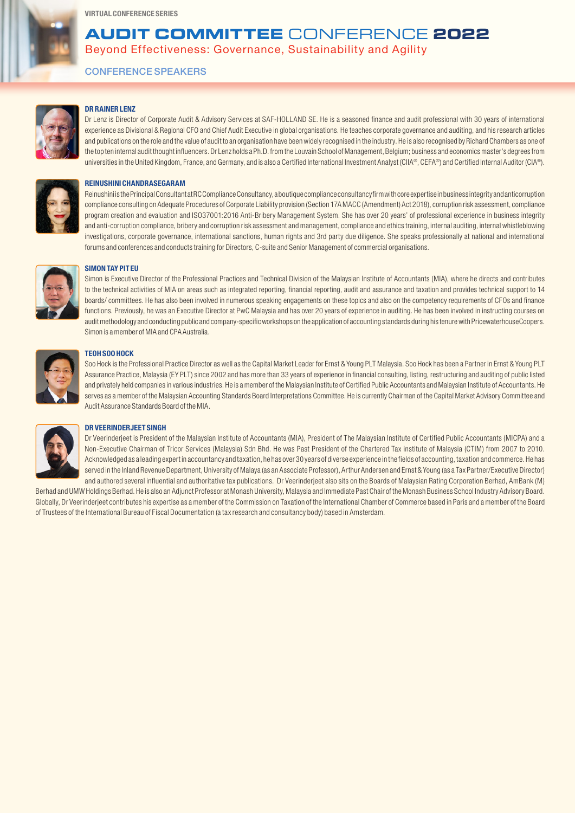### **AUDIT COMMITTEE** CONFERENCE **2022**

Beyond Effectiveness: Governance, Sustainability and Agility

CONFERENCE SPEAKERS



### DR RAINER LENZ

Dr Lenz is Director of Corporate Audit & Advisory Services at SAF-HOLLAND SE. He is a seasoned finance and audit professional with 30 years of international experience as Divisional & Regional CFO and Chief Audit Executive in global organisations. He teaches corporate governance and auditing, and his research articles and publications on the role and the value of audit to an organisation have been widely recognised in the industry. He is also recognised by Richard Chambers as one of the top ten internal audit thought influencers. Dr Lenz holds a Ph.D. from the Louvain School of Management, Belgium; business and economics master's degrees from universities in the United Kingdom, France, and Germany, and is also a Certified International Investment Analyst (CIIA®, CEFA®) and Certified Internal Auditor (CIA®).



### REINUSHINI CHANDRASEGARAM

Reinushini is the Principal Consultant at RC Compliance Consultancy, a boutique compliance consultancy firm with core expertise in business integrity and anticorruption compliance consulting on Adequate Procedures of Corporate Liability provision (Section 17A MACC (Amendment) Act 2018), corruption risk assessment, compliance program creation and evaluation and ISO37001:2016 Anti-Bribery Management System. She has over 20 years' of professional experience in business integrity and anti-corruption compliance, bribery and corruption risk assessment and management, compliance and ethics training, internal auditing, internal whistleblowing investigations, corporate governance, international sanctions, human rights and 3rd party due diligence. She speaks professionally at national and international forums and conferences and conducts training for Directors, C-suite and Senior Management of commercial organisations.



### SIMON TAY PIT EU

Simon is Executive Director of the Professional Practices and Technical Division of the Malaysian Institute of Accountants (MIA), where he directs and contributes to the technical activities of MIA on areas such as integrated reporting, financial reporting, audit and assurance and taxation and provides technical support to 14 boards/ committees. He has also been involved in numerous speaking engagements on these topics and also on the competency requirements of CFOs and finance functions. Previously, he was an Executive Director at PwC Malaysia and has over 20 years of experience in auditing. He has been involved in instructing courses on audit methodology and conducting public and company-specific workshops on the application of accounting standards during his tenure with PricewaterhouseCoopers. Simon is a member of MIA and CPA Australia.



### TEOH SOO HOCK

Soo Hock is the Professional Practice Director as well as the Capital Market Leader for Ernst & Young PLT Malaysia. Soo Hock has been a Partner in Ernst & Young PLT Assurance Practice, Malaysia (EY PLT) since 2002 and has more than 33 years of experience in financial consulting, listing, restructuring and auditing of public listed and privately held companies in various industries. He is a member of the Malaysian Institute of Certified Public Accountants and Malaysian Institute of Accountants. He serves as a member of the Malaysian Accounting Standards Board Interpretations Committee. He is currently Chairman of the Capital Market Advisory Committee and Audit Assurance Standards Board of the MIA.



### DR VEERINDERJEET SINGH

Dr Veerinderjeet is President of the Malaysian Institute of Accountants (MIA), President of The Malaysian Institute of Certified Public Accountants (MICPA) and a Non-Executive Chairman of Tricor Services (Malaysia) Sdn Bhd. He was Past President of the Chartered Tax institute of Malaysia (CTIM) from 2007 to 2010. Acknowledged as a leading expert in accountancy and taxation, he has over 30 years of diverse experience in the fields of accounting, taxation and commerce. He has served in the Inland Revenue Department, University of Malaya (as an Associate Professor), Arthur Andersen and Ernst & Young (as a Tax Partner/Executive Director) and authored several influential and authoritative tax publications. Dr Veerinderjeet also sits on the Boards of Malaysian Rating Corporation Berhad, AmBank (M)

Berhad and UMW Holdings Berhad. He is also an Adjunct Professor at Monash University, Malaysia and Immediate Past Chair of the Monash Business School Industry Advisory Board. Globally, Dr Veerinderjeet contributes his expertise as a member of the Commission on Taxation of the International Chamber of Commerce based in Paris and a member of the Board of Trustees of the International Bureau of Fiscal Documentation (a tax research and consultancy body) based in Amsterdam.